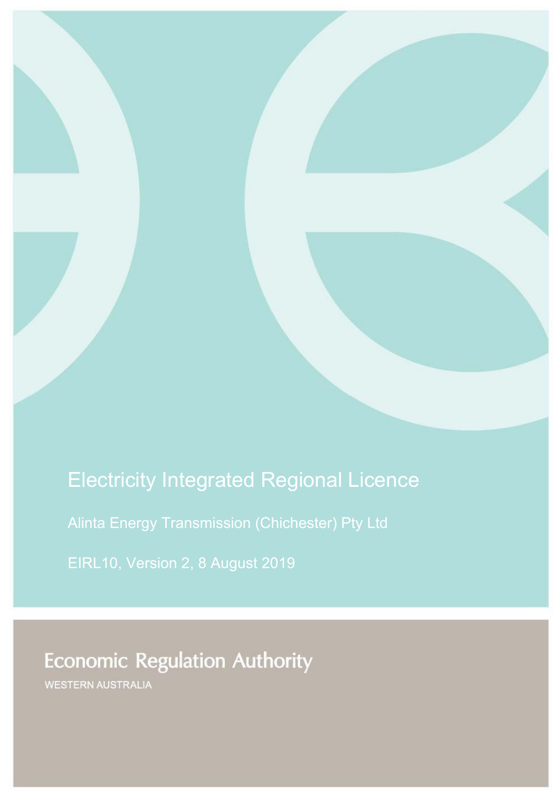# Electricity Integrated Regional Licence

Alinta Energy Transmission (Chichester) Pty Ltd

EIRL10, Version 2, 8 August 2019

Economic Regulation Authority

**Economic Regulation Authority** 

WESTERN AUSTRALIA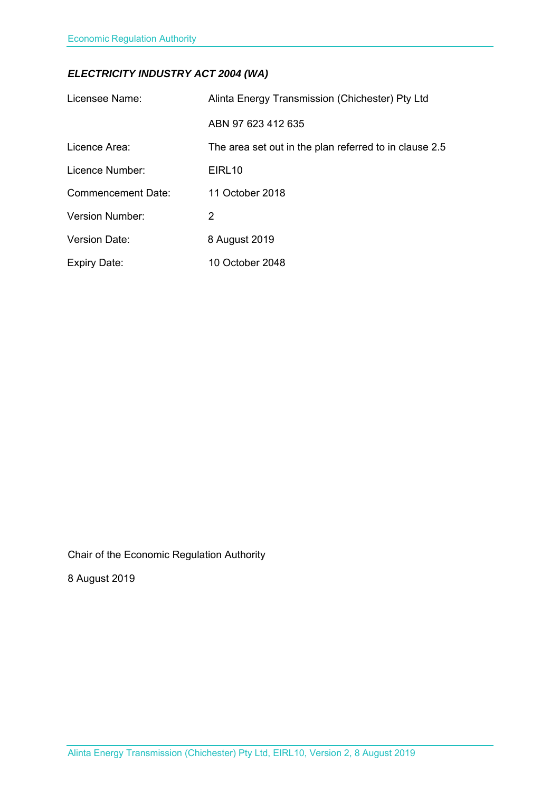# *ELECTRICITY INDUSTRY ACT 2004 (WA)*

| Licensee Name:         | Alinta Energy Transmission (Chichester) Pty Ltd        |
|------------------------|--------------------------------------------------------|
|                        | ABN 97 623 412 635                                     |
| Licence Area:          | The area set out in the plan referred to in clause 2.5 |
| Licence Number:        | EIRL <sub>10</sub>                                     |
| Commencement Date:     | 11 October 2018                                        |
| <b>Version Number:</b> | 2                                                      |
| <b>Version Date:</b>   | 8 August 2019                                          |
| <b>Expiry Date:</b>    | 10 October 2048                                        |

Chair of the Economic Regulation Authority

8 August 2019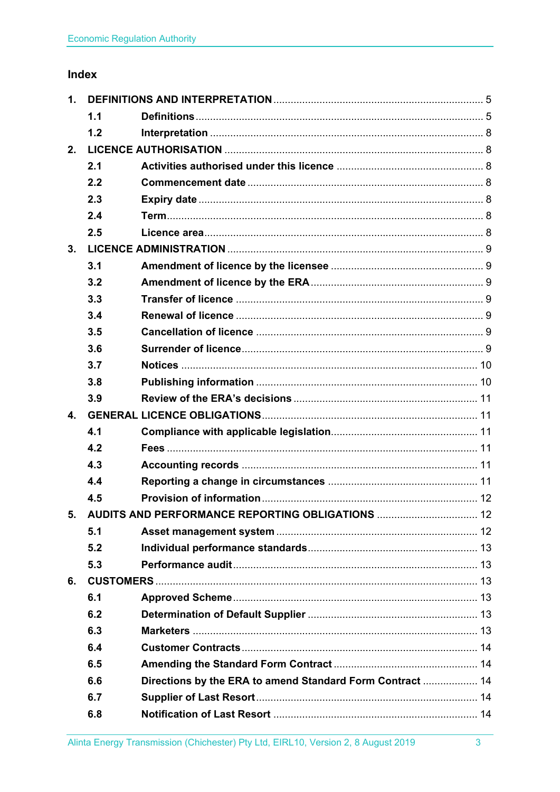# Index

| 1.                        |     |                                                           |  |
|---------------------------|-----|-----------------------------------------------------------|--|
|                           | 1.1 |                                                           |  |
|                           | 1.2 |                                                           |  |
| 2.                        |     |                                                           |  |
|                           | 2.1 |                                                           |  |
|                           | 2.2 |                                                           |  |
|                           | 2.3 |                                                           |  |
|                           | 2.4 |                                                           |  |
|                           | 2.5 |                                                           |  |
| 3.                        |     |                                                           |  |
|                           | 3.1 |                                                           |  |
|                           | 3.2 |                                                           |  |
|                           | 3.3 |                                                           |  |
|                           | 3.4 |                                                           |  |
|                           | 3.5 |                                                           |  |
|                           | 3.6 |                                                           |  |
|                           | 3.7 |                                                           |  |
|                           | 3.8 |                                                           |  |
|                           | 3.9 |                                                           |  |
| $\overline{\mathbf{4}}$ . |     |                                                           |  |
|                           | 4.1 |                                                           |  |
|                           | 4.2 |                                                           |  |
|                           | 4.3 |                                                           |  |
|                           | 4.4 |                                                           |  |
|                           | 4.5 |                                                           |  |
|                           |     | 5. AUDITS AND PERFORMANCE REPORTING OBLIGATIONS  12       |  |
|                           | 5.1 |                                                           |  |
|                           | 5.2 |                                                           |  |
|                           | 5.3 |                                                           |  |
| 6.                        |     |                                                           |  |
|                           | 6.1 |                                                           |  |
|                           | 6.2 |                                                           |  |
|                           | 6.3 |                                                           |  |
|                           | 6.4 |                                                           |  |
|                           | 6.5 |                                                           |  |
|                           | 6.6 | Directions by the ERA to amend Standard Form Contract  14 |  |
|                           | 6.7 |                                                           |  |
|                           | 6.8 |                                                           |  |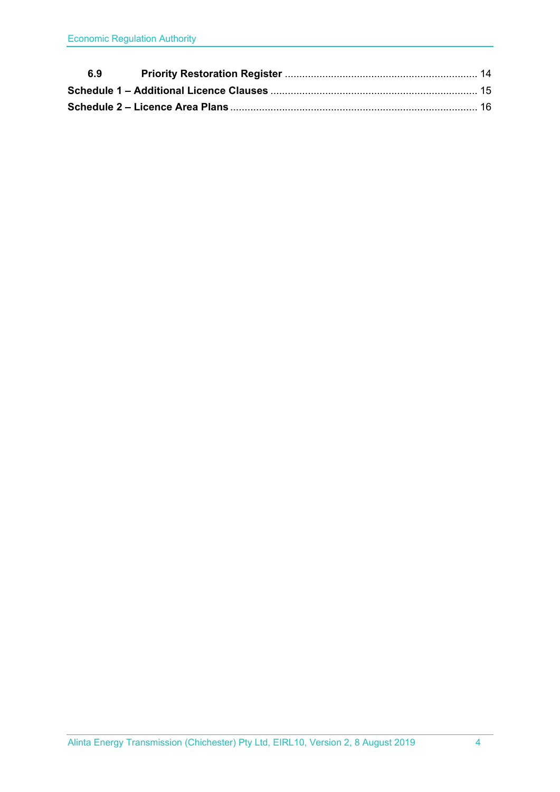| 6.9 |  |
|-----|--|
|     |  |
|     |  |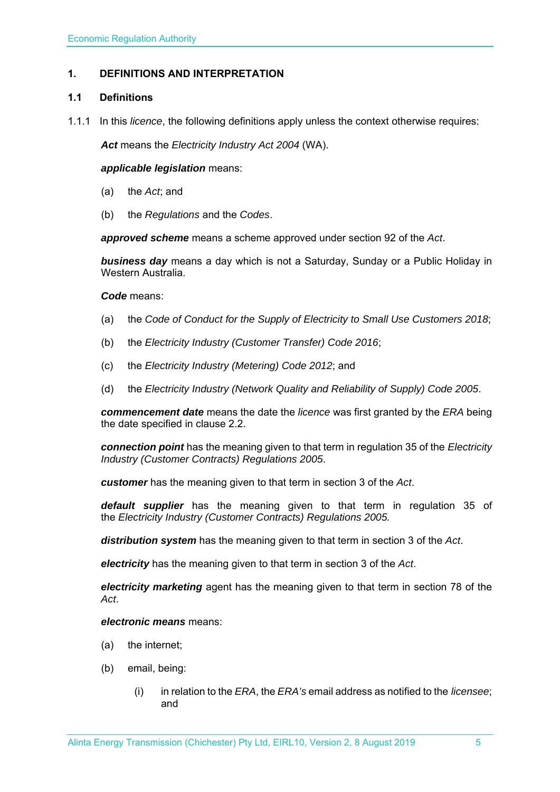# **1. DEFINITIONS AND INTERPRETATION**

#### **1.1 Definitions**

1.1.1 In this *licence*, the following definitions apply unless the context otherwise requires:

*Act* means the *Electricity Industry Act 2004* (WA).

#### *applicable legislation* means:

- (a) the *Act*; and
- (b) the *Regulations* and the *Codes*.

*approved scheme* means a scheme approved under section 92 of the *Act*.

*business day* means a day which is not a Saturday, Sunday or a Public Holiday in Western Australia.

#### *Code* means:

- (a) the *Code of Conduct for the Supply of Electricity to Small Use Customers 2018*;
- (b) the *Electricity Industry (Customer Transfer) Code 2016*;
- (c) the *Electricity Industry (Metering) Code 2012*; and
- (d) the *Electricity Industry (Network Quality and Reliability of Supply) Code 2005*.

*commencement date* means the date the *licence* was first granted by the *ERA* being the date specified in clause 2.2.

*connection point* has the meaning given to that term in regulation 35 of the *Electricity Industry (Customer Contracts) Regulations 2005*.

*customer* has the meaning given to that term in section 3 of the *Act*.

*default supplier* has the meaning given to that term in regulation 35 of the *Electricity Industry (Customer Contracts) Regulations 2005.*

*distribution system* has the meaning given to that term in section 3 of the *Act*.

*electricity* has the meaning given to that term in section 3 of the *Act*.

*electricity marketing* agent has the meaning given to that term in section 78 of the *Act*.

#### *electronic means* means:

- (a) the internet;
- (b) email, being:
	- (i) in relation to the *ERA*, the *ERA's* email address as notified to the *licensee*; and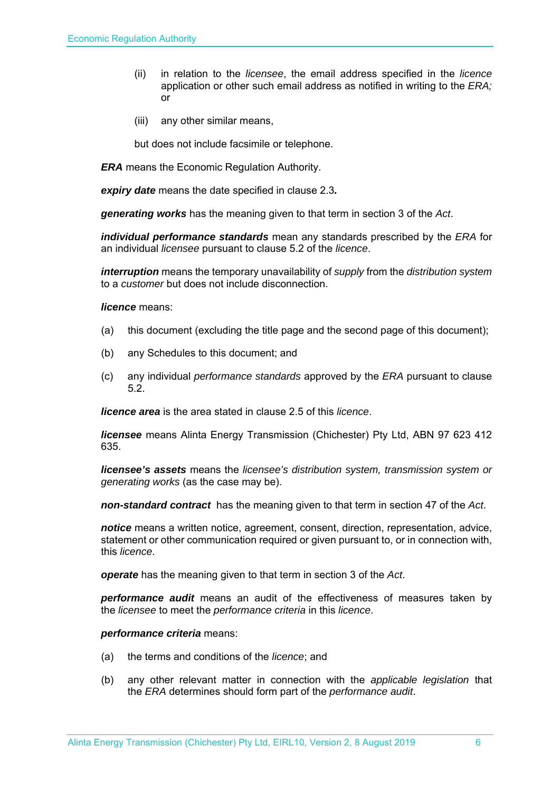- (ii) in relation to the *licensee*, the email address specified in the *licence* application or other such email address as notified in writing to the *ERA;* or
- (iii) any other similar means,

but does not include facsimile or telephone.

*ERA* means the Economic Regulation Authority.

*expiry date* means the date specified in clause 2.3*.* 

*generating works* has the meaning given to that term in section 3 of the *Act*.

*individual performance standards* mean any standards prescribed by the *ERA* for an individual *licensee* pursuant to clause 5.2 of the *licence*.

*interruption* means the temporary unavailability of *supply* from the *distribution system* to a *customer* but does not include disconnection.

*licence* means:

- (a) this document (excluding the title page and the second page of this document);
- (b) any Schedules to this document; and
- (c) any individual *performance standards* approved by the *ERA* pursuant to clause 5.2.

*licence area* is the area stated in clause 2.5 of this *licence*.

*licensee* means Alinta Energy Transmission (Chichester) Pty Ltd, ABN 97 623 412 635.

*licensee's assets* means the *licensee's distribution system, transmission system or generating works* (as the case may be).

*non-standard contract* has the meaning given to that term in section 47 of the *Act*.

*notice* means a written notice, agreement, consent, direction, representation, advice, statement or other communication required or given pursuant to, or in connection with, this *licence*.

*operate* has the meaning given to that term in section 3 of the *Act*.

*performance audit* means an audit of the effectiveness of measures taken by the *licensee* to meet the *performance criteria* in this *licence*.

*performance criteria* means:

- (a) the terms and conditions of the *licence*; and
- (b) any other relevant matter in connection with the *applicable legislation* that the *ERA* determines should form part of the *performance audit*.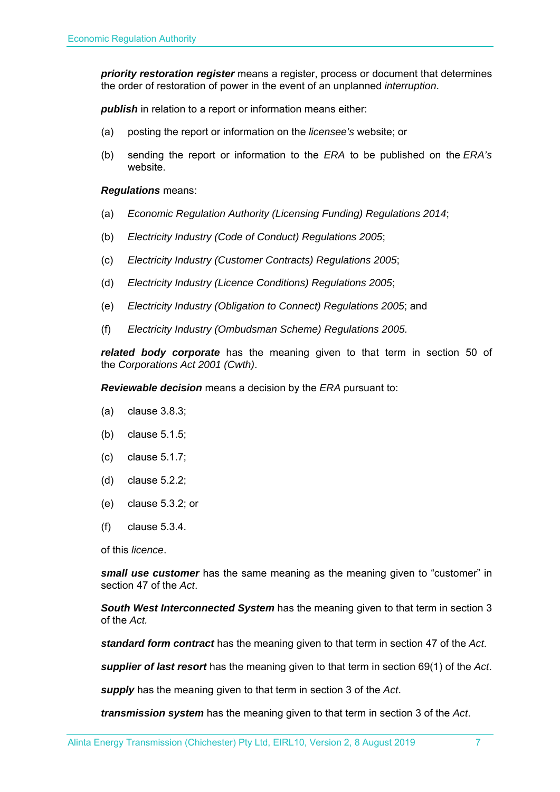*priority restoration register* means a register, process or document that determines the order of restoration of power in the event of an unplanned *interruption*.

**publish** in relation to a report or information means either:

- (a) posting the report or information on the *licensee's* website; or
- (b) sending the report or information to the *ERA* to be published on the *ERA's* website.

#### *Regulations* means:

- (a) *Economic Regulation Authority (Licensing Funding) Regulations 2014*;
- (b) *Electricity Industry (Code of Conduct) Regulations 2005*;
- (c) *Electricity Industry (Customer Contracts) Regulations 2005*;
- (d) *Electricity Industry (Licence Conditions) Regulations 2005*;
- (e) *Electricity Industry (Obligation to Connect) Regulations 2005*; and
- (f) *Electricity Industry (Ombudsman Scheme) Regulations 2005.*

*related body corporate* has the meaning given to that term in section 50 of the *Corporations Act 2001 (Cwth)*.

*Reviewable decision* means a decision by the *ERA* pursuant to:

- (a) clause 3.8.3;
- (b) clause 5.1.5;
- (c) clause 5.1.7;
- (d) clause 5.2.2;
- (e) clause 5.3.2; or
- (f) clause 5.3.4.

of this *licence*.

*small use customer* has the same meaning as the meaning given to "customer" in section 47 of the *Act*.

*South West Interconnected System* has the meaning given to that term in section 3 of the *Act.* 

*standard form contract* has the meaning given to that term in section 47 of the *Act*.

*supplier of last resort* has the meaning given to that term in section 69(1) of the *Act*.

*supply* has the meaning given to that term in section 3 of the *Act*.

*transmission system* has the meaning given to that term in section 3 of the *Act*.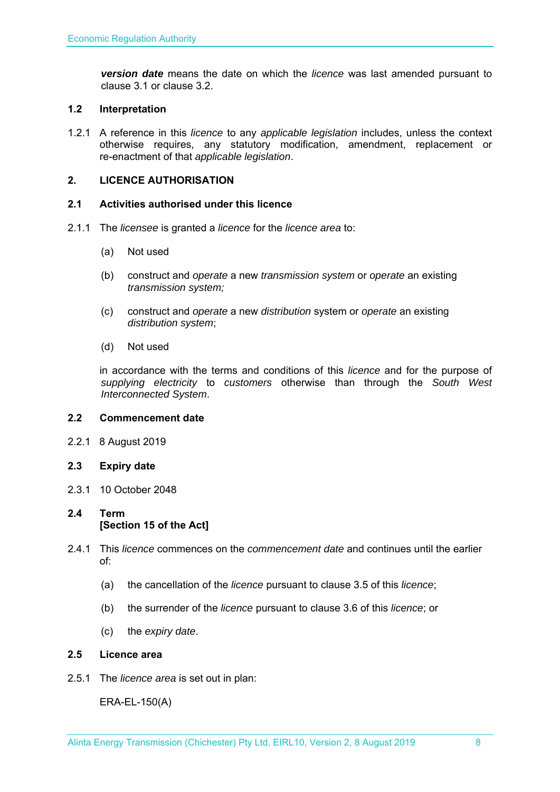*version date* means the date on which the *licence* was last amended pursuant to clause 3.1 or clause 3.2.

# **1.2 Interpretation**

1.2.1 A reference in this *licence* to any *applicable legislation* includes, unless the context otherwise requires, any statutory modification, amendment, replacement or re-enactment of that *applicable legislation*.

# **2. LICENCE AUTHORISATION**

# **2.1 Activities authorised under this licence**

- 2.1.1 The *licensee* is granted a *licence* for the *licence area* to:
	- (a) Not used
	- (b) construct and *operate* a new *transmission system* or *operate* an existing *transmission system;*
	- (c) construct and *operate* a new *distribution* system or *operate* an existing *distribution system*;
	- (d) Not used

in accordance with the terms and conditions of this *licence* and for the purpose of *supplying electricity* to *customers* otherwise than through the *South West Interconnected System*.

# **2.2 Commencement date**

2.2.1 8 August 2019

# **2.3 Expiry date**

2.3.1 10 October 2048

# **2.4 Term [Section 15 of the Act]**

- 2.4.1 This *licence* commences on the *commencement date* and continues until the earlier of:
	- (a) the cancellation of the *licence* pursuant to clause 3.5 of this *licence*;
	- (b) the surrender of the *licence* pursuant to clause 3.6 of this *licence*; or
	- (c) the *expiry date*.

# **2.5 Licence area**

2.5.1 The *licence area* is set out in plan:

ERA-EL-150(A)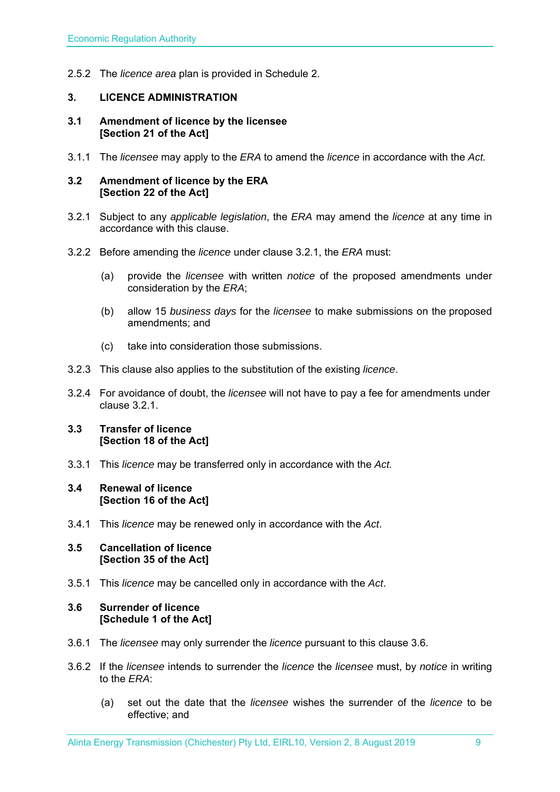2.5.2 The *licence area* plan is provided in Schedule 2.

# **3. LICENCE ADMINISTRATION**

#### **3.1 Amendment of licence by the licensee [Section 21 of the Act]**

3.1.1 The *licensee* may apply to the *ERA* to amend the *licence* in accordance with the *Act.*

#### **3.2 Amendment of licence by the ERA [Section 22 of the Act]**

- 3.2.1 Subject to any *applicable legislation*, the *ERA* may amend the *licence* at any time in accordance with this clause.
- 3.2.2 Before amending the *licence* under clause 3.2.1, the *ERA* must:
	- (a) provide the *licensee* with written *notice* of the proposed amendments under consideration by the *ERA*;
	- (b) allow 15 *business days* for the *licensee* to make submissions on the proposed amendments; and
	- (c) take into consideration those submissions.
- 3.2.3 This clause also applies to the substitution of the existing *licence*.
- 3.2.4 For avoidance of doubt, the *licensee* will not have to pay a fee for amendments under clause 3.2.1.

# **3.3 Transfer of licence [Section 18 of the Act]**

3.3.1 This *licence* may be transferred only in accordance with the *Act.*

#### **3.4 Renewal of licence [Section 16 of the Act]**

3.4.1 This *licence* may be renewed only in accordance with the *Act*.

#### **3.5 Cancellation of licence [Section 35 of the Act]**

3.5.1 This *licence* may be cancelled only in accordance with the *Act*.

# **3.6 Surrender of licence [Schedule 1 of the Act]**

- 3.6.1 The *licensee* may only surrender the *licence* pursuant to this clause 3.6.
- 3.6.2 If the *licensee* intends to surrender the *licence* the *licensee* must, by *notice* in writing to the *ERA*:
	- (a) set out the date that the *licensee* wishes the surrender of the *licence* to be effective; and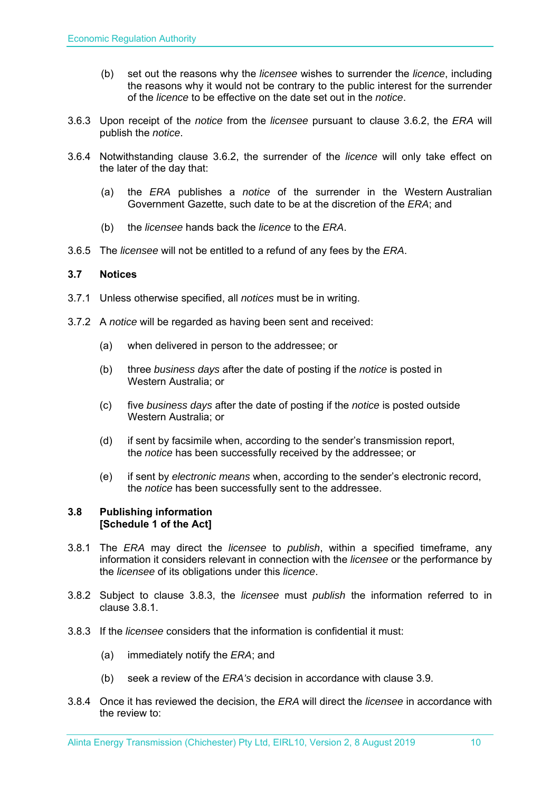- (b) set out the reasons why the *licensee* wishes to surrender the *licence*, including the reasons why it would not be contrary to the public interest for the surrender of the *licence* to be effective on the date set out in the *notice*.
- 3.6.3 Upon receipt of the *notice* from the *licensee* pursuant to clause 3.6.2, the *ERA* will publish the *notice*.
- 3.6.4 Notwithstanding clause 3.6.2, the surrender of the *licence* will only take effect on the later of the day that:
	- (a) the *ERA* publishes a *notice* of the surrender in the Western Australian Government Gazette, such date to be at the discretion of the *ERA*; and
	- (b) the *licensee* hands back the *licence* to the *ERA*.
- 3.6.5 The *licensee* will not be entitled to a refund of any fees by the *ERA*.

# **3.7 Notices**

- 3.7.1 Unless otherwise specified, all *notices* must be in writing.
- 3.7.2 A *notice* will be regarded as having been sent and received:
	- (a) when delivered in person to the addressee; or
	- (b) three *business days* after the date of posting if the *notice* is posted in Western Australia; or
	- (c) five *business days* after the date of posting if the *notice* is posted outside Western Australia; or
	- (d) if sent by facsimile when, according to the sender's transmission report, the *notice* has been successfully received by the addressee; or
	- (e) if sent by *electronic means* when, according to the sender's electronic record, the *notice* has been successfully sent to the addressee.

# **3.8 Publishing information [Schedule 1 of the Act]**

- 3.8.1 The *ERA* may direct the *licensee* to *publish*, within a specified timeframe, any information it considers relevant in connection with the *licensee* or the performance by the *licensee* of its obligations under this *licence*.
- 3.8.2 Subject to clause 3.8.3, the *licensee* must *publish* the information referred to in clause 3.8.1.
- 3.8.3 If the *licensee* considers that the information is confidential it must:
	- (a) immediately notify the *ERA*; and
	- (b) seek a review of the *ERA's* decision in accordance with clause 3.9.
- 3.8.4 Once it has reviewed the decision, the *ERA* will direct the *licensee* in accordance with the review to: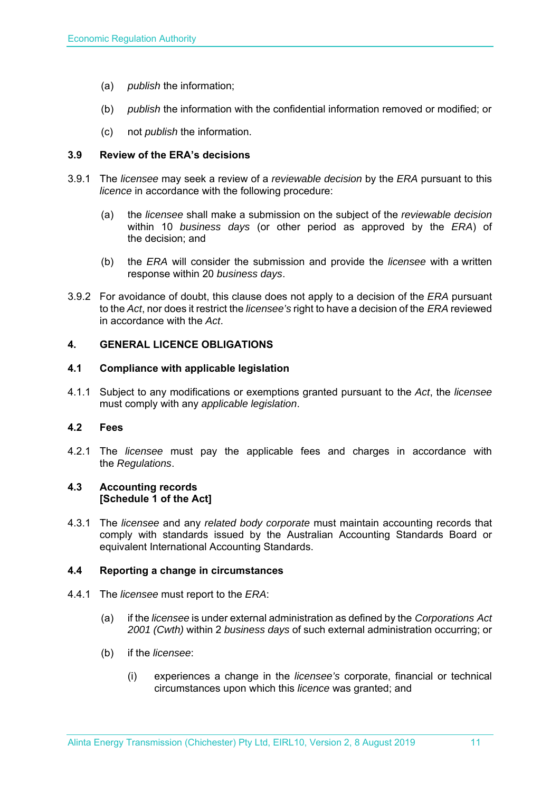- (a) *publish* the information;
- (b) *publish* the information with the confidential information removed or modified; or
- (c) not *publish* the information.

# **3.9 Review of the ERA's decisions**

- 3.9.1 The *licensee* may seek a review of a *reviewable decision* by the *ERA* pursuant to this *licence* in accordance with the following procedure:
	- (a) the *licensee* shall make a submission on the subject of the *reviewable decision* within 10 *business days* (or other period as approved by the *ERA*) of the decision; and
	- (b) the *ERA* will consider the submission and provide the *licensee* with a written response within 20 *business days*.
- 3.9.2 For avoidance of doubt, this clause does not apply to a decision of the *ERA* pursuant to the *Act*, nor does it restrict the *licensee's* right to have a decision of the *ERA* reviewed in accordance with the *Act*.

#### **4. GENERAL LICENCE OBLIGATIONS**

#### **4.1 Compliance with applicable legislation**

4.1.1 Subject to any modifications or exemptions granted pursuant to the *Act*, the *licensee* must comply with any *applicable legislation*.

#### **4.2 Fees**

4.2.1 The *licensee* must pay the applicable fees and charges in accordance with the *Regulations*.

#### **4.3 Accounting records [Schedule 1 of the Act]**

4.3.1 The *licensee* and any *related body corporate* must maintain accounting records that comply with standards issued by the Australian Accounting Standards Board or equivalent International Accounting Standards.

#### **4.4 Reporting a change in circumstances**

- 4.4.1 The *licensee* must report to the *ERA*:
	- (a) if the *licensee* is under external administration as defined by the *Corporations Act 2001 (Cwth)* within 2 *business days* of such external administration occurring; or
	- (b) if the *licensee*:
		- (i) experiences a change in the *licensee's* corporate, financial or technical circumstances upon which this *licence* was granted; and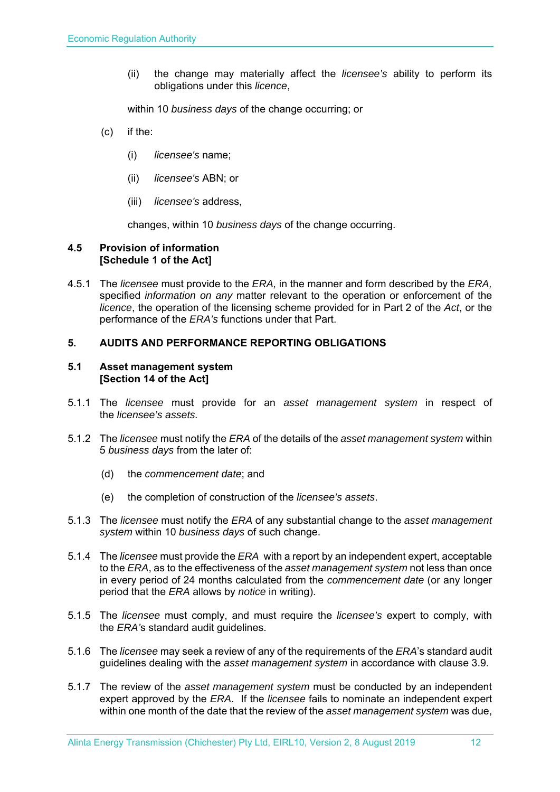(ii) the change may materially affect the *licensee's* ability to perform its obligations under this *licence*,

within 10 *business days* of the change occurring; or

- (c) if the:
	- (i) *licensee's* name;
	- (ii) *licensee's* ABN; or
	- (iii) *licensee's* address,

changes, within 10 *business days* of the change occurring.

# **4.5 Provision of information [Schedule 1 of the Act]**

4.5.1 The *licensee* must provide to the *ERA,* in the manner and form described by the *ERA,*  specified *information on any* matter relevant to the operation or enforcement of the *licence*, the operation of the licensing scheme provided for in Part 2 of the *Act*, or the performance of the *ERA's* functions under that Part.

# **5. AUDITS AND PERFORMANCE REPORTING OBLIGATIONS**

#### **5.1 Asset management system [Section 14 of the Act]**

- 5.1.1 The *licensee* must provide for an *asset management system* in respect of the *licensee's assets.*
- 5.1.2 The *licensee* must notify the *ERA* of the details of the *asset management system* within 5 *business days* from the later of:
	- (d) the *commencement date*; and
	- (e) the completion of construction of the *licensee's assets*.
- 5.1.3 The *licensee* must notify the *ERA* of any substantial change to the *asset management system* within 10 *business days* of such change.
- 5.1.4 The *licensee* must provide the *ERA* with a report by an independent expert, acceptable to the *ERA*, as to the effectiveness of the *asset management system* not less than once in every period of 24 months calculated from the *commencement date* (or any longer period that the *ERA* allows by *notice* in writing).
- 5.1.5 The *licensee* must comply, and must require the *licensee's* expert to comply, with the *ERA'*s standard audit guidelines.
- 5.1.6 The *licensee* may seek a review of any of the requirements of the *ERA*'s standard audit guidelines dealing with the *asset management system* in accordance with clause 3.9.
- 5.1.7 The review of the *asset management system* must be conducted by an independent expert approved by the *ERA*. If the *licensee* fails to nominate an independent expert within one month of the date that the review of the *asset management system* was due,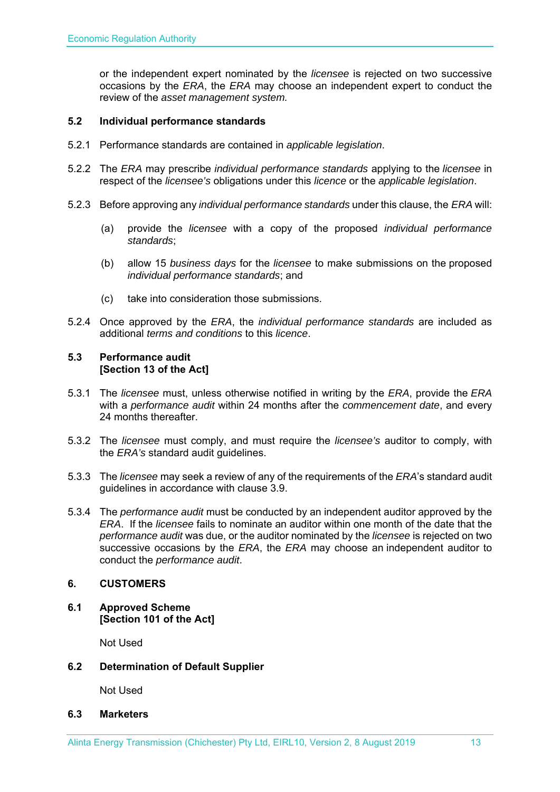or the independent expert nominated by the *licensee* is rejected on two successive occasions by the *ERA*, the *ERA* may choose an independent expert to conduct the review of the *asset management system.*

# **5.2 Individual performance standards**

- 5.2.1 Performance standards are contained in *applicable legislation*.
- 5.2.2 The *ERA* may prescribe *individual performance standards* applying to the *licensee* in respect of the *licensee's* obligations under this *licence* or the *applicable legislation*.
- 5.2.3 Before approving any *individual performance standards* under this clause, the *ERA* will:
	- (a) provide the *licensee* with a copy of the proposed *individual performance standards*;
	- (b) allow 15 *business days* for the *licensee* to make submissions on the proposed *individual performance standards*; and
	- (c) take into consideration those submissions.
- 5.2.4 Once approved by the *ERA*, the *individual performance standards* are included as additional *terms and conditions* to this *licence*.

## **5.3 Performance audit [Section 13 of the Act]**

- 5.3.1 The *licensee* must, unless otherwise notified in writing by the *ERA*, provide the *ERA* with a *performance audit* within 24 months after the *commencement date*, and every 24 months thereafter.
- 5.3.2 The *licensee* must comply, and must require the *licensee's* auditor to comply, with the *ERA's* standard audit guidelines.
- 5.3.3 The *licensee* may seek a review of any of the requirements of the *ERA*'s standard audit guidelines in accordance with clause 3.9.
- 5.3.4 The *performance audit* must be conducted by an independent auditor approved by the *ERA*. If the *licensee* fails to nominate an auditor within one month of the date that the *performance audit* was due, or the auditor nominated by the *licensee* is rejected on two successive occasions by the *ERA*, the *ERA* may choose an independent auditor to conduct the *performance audit*.

# **6. CUSTOMERS**

**6.1 Approved Scheme [Section 101 of the Act]** 

Not Used

# **6.2 Determination of Default Supplier**

Not Used

#### **6.3 Marketers**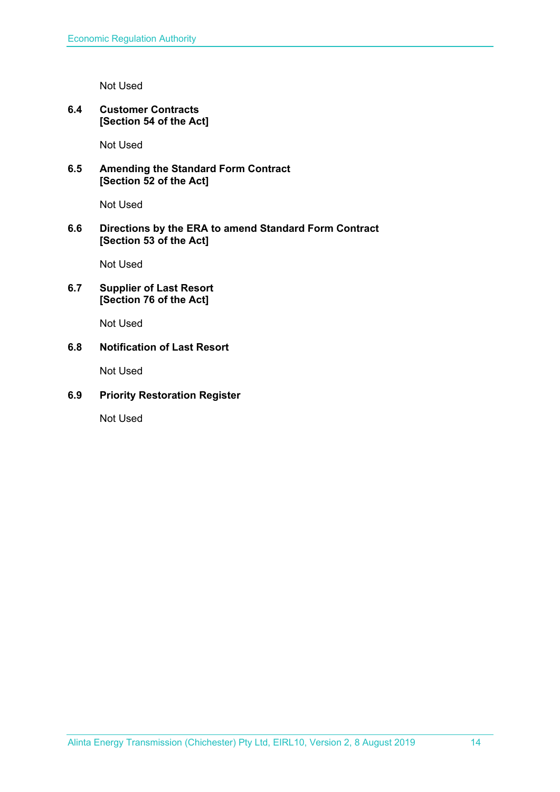Not Used

# **6.4 Customer Contracts [Section 54 of the Act]**

Not Used

# **6.5 Amending the Standard Form Contract [Section 52 of the Act]**

Not Used

# **6.6 Directions by the ERA to amend Standard Form Contract [Section 53 of the Act]**

Not Used

# **6.7 Supplier of Last Resort [Section 76 of the Act]**

Not Used

# **6.8 Notification of Last Resort**

Not Used

# **6.9 Priority Restoration Register**

Not Used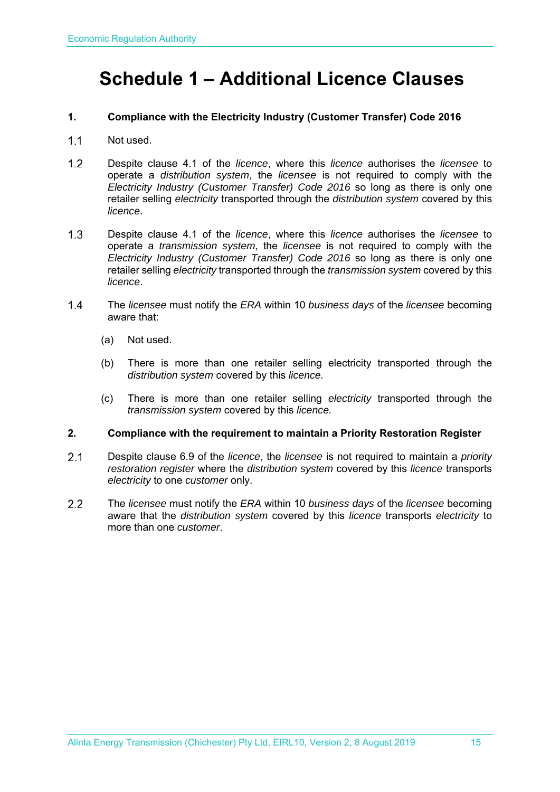# **Schedule 1 – Additional Licence Clauses**

# **1. Compliance with the Electricity Industry (Customer Transfer) Code 2016**

- 1.1 Not used.
- Despite clause 4.1 of the *licence*, where this *licence* authorises the *licensee* to operate a *distribution system*, the *licensee* is not required to comply with the *Electricity Industry (Customer Transfer) Code 2016* so long as there is only one retailer selling *electricity* transported through the *distribution system* covered by this *licence*.
- Despite clause 4.1 of the *licence*, where this *licence* authorises the *licensee* to operate a *transmission system*, the *licensee* is not required to comply with the *Electricity Industry (Customer Transfer) Code 2016* so long as there is only one retailer selling *electricity* transported through the *transmission system* covered by this *licence*.
- The *licensee* must notify the *ERA* within 10 *business days* of the *licensee* becoming aware that:
	- (a) Not used.
	- (b) There is more than one retailer selling electricity transported through the *distribution system* covered by this *licence.*
	- (c) There is more than one retailer selling *electricity* transported through the *transmission system* covered by this *licence.*

#### **2. Compliance with the requirement to maintain a Priority Restoration Register**

- Despite clause 6.9 of the *licence*, the *licensee* is not required to maintain a *priority restoration register* where the *distribution system* covered by this *licence* transports *electricity* to one *customer* only.
- The *licensee* must notify the *ERA* within 10 *business days* of the *licensee* becoming aware that the *distribution system* covered by this *licence* transports *electricity* to more than one *customer*.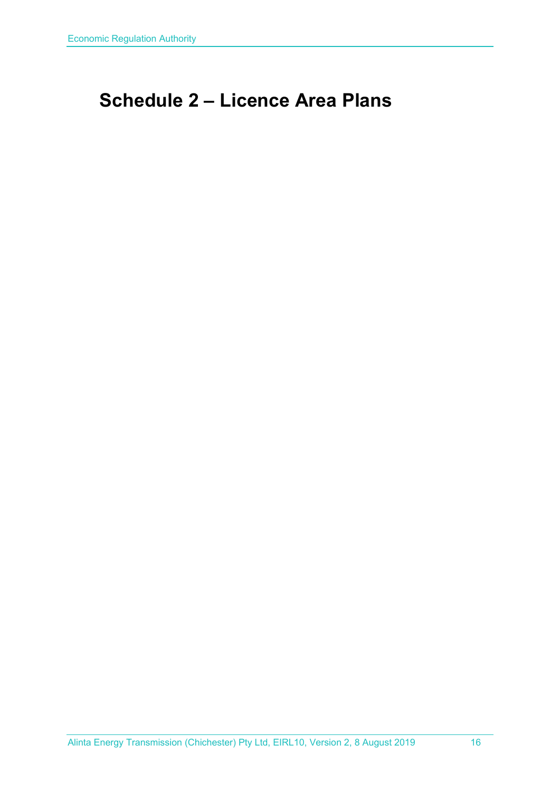# **Schedule 2 – Licence Area Plans**